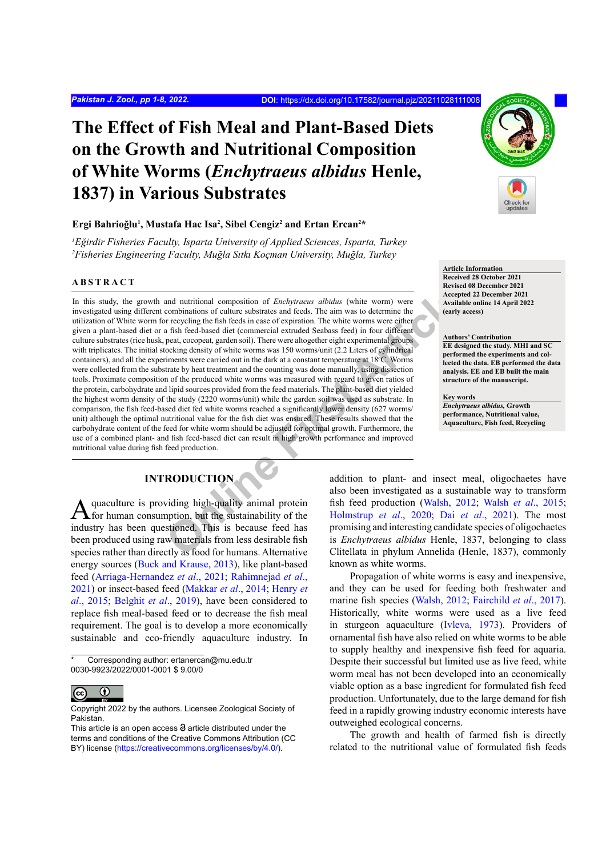# **The Effect of Fish Meal and Plant-Based Diets on the Growth and Nutritional Composition of White Worms (***Enchytraeus albidus* **Henle, 1837) in Various Substrates**

## **Ergi Bahrioğlu<sup>1</sup> , Mustafa Hac Isa2 , Sibel Cengiz2 and Ertan Ercan2 \***

*1 Eğirdir Fisheries Faculty, Isparta University of Applied Sciences, Isparta, Turkey 2 Fisheries Engineering Faculty, Muğla Sıtkı Koçman University, Muğla, Turkey*

# **ABSTRACT**

and nutritional composition of *Enchytraeus albidus* (white worm) were<br>combinations of culture substrates and feeds. The aim was to determine the<br>combinations of culture substrates and feeds. The aim was to determine the<br> In this study, the growth and nutritional composition of *Enchytraeus albidus* (white worm) were investigated using different combinations of culture substrates and feeds. The aim was to determine the utilization of White worm for recycling the fish feeds in case of expiration. The white worms were either given a plant-based diet or a fish feed-based diet (commercial extruded Seabass feed) in four different culture substrates (rice husk, peat, cocopeat, garden soil). There were altogether eight experimental groups with triplicates. The initial stocking density of white worms was 150 worms/unit (2.2 Liters of cylindrical containers), and all the experiments were carried out in the dark at a constant temperature at 18°C. Worms were collected from the substrate by heat treatment and the counting was done manually, using dissection tools. Proximate composition of the produced white worms was measured with regard to given ratios of the protein, carbohydrate and lipid sources provided from the feed materials. The plant-based diet yielded the highest worm density of the study (2220 worms/unit) while the garden soil was used as substrate. In comparison, the fish feed-based diet fed white worms reached a significantly lower density (627 worms/ unit) although the optimal nutritional value for the fish diet was ensured. These results showed that the carbohydrate content of the feed for white worm should be adjusted for optimal growth. Furthermore, the use of a combined plant- and fish feed-based diet can result in high growth performance and improved nutritional value during fish feed production.

# **INTRODUCTION**

quaculture is providing high-quality animal protein for human consumption, but the sustainability of the industry has been questioned. This is because feed has been produced using raw materials from less desirable fish species rather than directly as food for humans. Alternative energy sources [\(Buck and Krause, 2013\)](#page-6-0), like plant-based feed ([Arriaga-Hernandez](#page-6-1) *et al*., 2021; [Rahimnejad](#page-6-2) *et al*., [2021\)](#page-6-2) or insect-based feed [\(Makkar](#page-6-3) *et al*., 2014; [Henry](#page-6-4) *et al*[., 2015](#page-6-4); [Belghit](#page-6-5) *et al*., 2019), have been considered to replace fish meal-based feed or to decrease the fish meal requirement. The goal is to develop a more economically sustainable and eco-friendly aquaculture industry. In

Corresponding author: ertanercan@mu.edu.tr 0030-9923/2022/0001-0001 \$ 9.00/0



Copyright 2022 by the authors. Licensee Zoological Society of Pakistan.



**Article Information Received 28 October 2021 Revised 08 December 2021 Accepted 22 December 2021 Available online 14 April 2022 (early access)**

**Authors' Contribution EE designed the study. MHI and SC performed the experiments and collected the data. EB performed the data analysis. EE and EB built the main structure of the manuscript.** 

**Key words** *Enchytraeus albidus,* **Growth performance, Nutritional value, Aquaculture, Fish feed, Recycling**

addition to plant- and insect meal, oligochaetes have also been investigated as a sustainable way to transform fish feed production (Walsh, 2012; Walsh *et al*[., 2015;](#page-7-1) Holmstrup *et al*., 2020; Dai *et al*., 2021). The most promising and interesting candidate species of oligochaetes is *Enchytraeus albidus* Henle, 1837, belonging to class Clitellata in phylum Annelida (Henle, 1837), commonly known as white worms.

Propagation of white worms is easy and inexpensive, and they can be used for feeding both freshwater and marine fish species ([Walsh, 2012;](#page-7-0) [Fairchild](#page-6-8) *et al*., 2017). Historically, white worms were used as a live feed in sturgeon aquaculture ([Ivleva, 1973](#page-6-9)). Providers of ornamental fish have also relied on white worms to be able to supply healthy and inexpensive fish feed for aquaria. Despite their successful but limited use as live feed, white worm meal has not been developed into an economically viable option as a base ingredient for formulated fish feed production. Unfortunately, due to the large demand for fish feed in a rapidly growing industry economic interests have outweighed ecological concerns.

The growth and health of farmed fish is directly related to the nutritional value of formulated fish feeds

This article is an open access  $\Theta$  article distributed under the terms and conditions of the Creative Commons Attribution (CC BY) license (https://creativecommons.org/licenses/by/4.0/).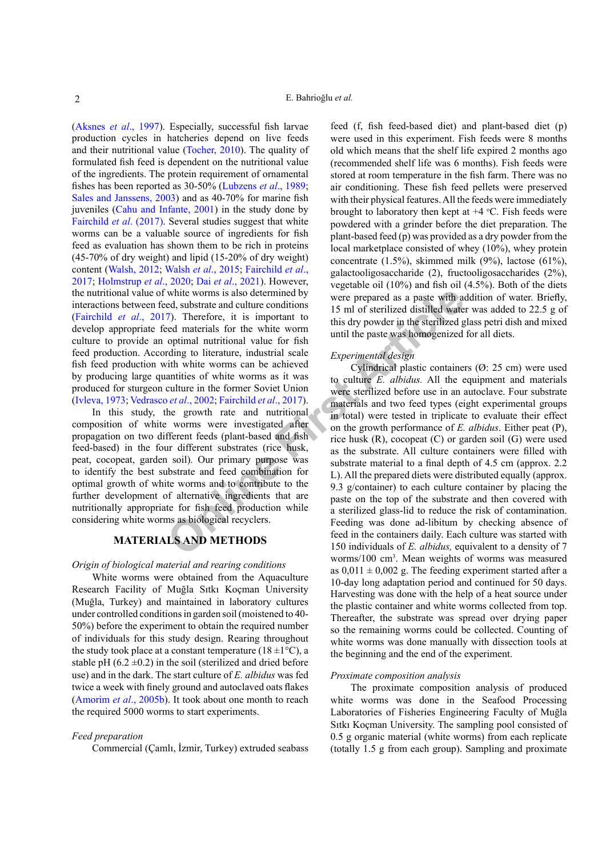[\(Aksnes](#page-5-0) *et al*., 1997). Especially, successful fish larvae production cycles in hatcheries depend on live feeds and their nutritional value [\(Tocher, 2010](#page-7-2)). The quality of formulated fish feed is dependent on the nutritional value of the ingredients. The protein requirement of ornamental fishes has been reported as 30-50% ([Lubzens](#page-6-10) *et al*., 1989; [Sales and Janssens, 2003\)](#page-7-3) and as 40-70% for marine fish juveniles ([Cahu and Infante, 2001\)](#page-6-11) in the study done by [Fairchild](#page-6-8) *et al*. (2017). Several studies suggest that white worms can be a valuable source of ingredients for fish feed as evaluation has shown them to be rich in proteins (45-70% of dry weight) and lipid (15-20% of dry weight) content [\(Walsh, 2012;](#page-7-0) Walsh *et al*[., 2015;](#page-7-1) [Fairchild](#page-6-8) *et al*., [2017](#page-6-8); [Holmstrup](#page-6-6) *et al*., 2020; Dai *et al*[., 2021\)](#page-6-7). However, the nutritional value of white worms is also determined by interactions between feed, substrate and culture conditions [\(Fairchild](#page-6-8) *et al*., 2017). Therefore, it is important to develop appropriate feed materials for the white worm culture to provide an optimal nutritional value for fish feed production. According to literature, industrial scale fish feed production with white worms can be achieved by producing large quantities of white worms as it was produced for sturgeon culture in the former Soviet Union ([Ivleva, 1973](#page-6-9); Vedrasco *et al*., 2002; Fairchild *et al*., 2017).

In this study, the growth rate and nutritional composition of white worms were investigated after propagation on two different feeds (plant-based and fish feed-based) in the four different substrates (rice husk, peat, cocopeat, garden soil). Our primary purpose was to identify the best substrate and feed combination for optimal growth of white worms and to contribute to the further development of alternative ingredients that are nutritionally appropriate for fish feed production while considering white worms as biological recyclers.

# **MATERIALS AND METHODS**

## *Origin of biological material and rearing conditions*

White worms were obtained from the Aquaculture Research Facility of Muğla Sıtkı Koçman University (Muğla, Turkey) and maintained in laboratory cultures under controlled conditions in garden soil (moistened to 40- 50%) before the experiment to obtain the required number of individuals for this study design. Rearing throughout the study took place at a constant temperature ( $18 \pm 1$ °C), a stable pH  $(6.2 \pm 0.2)$  in the soil (sterilized and dried before use) and in the dark. The start culture of *E. albidus* was fed twice a week with finely ground and autoclaved oats flakes [\(Amorim](#page-5-1) *et al*., 2005b). It took about one month to reach the required 5000 worms to start experiments.

#### *Feed preparation*

Commercial (Çamlı, İzmir, Turkey) extruded seabass

feed (f, fish feed-based diet) and plant-based diet (p) were used in this experiment. Fish feeds were 8 months old which means that the shelf life expired 2 months ago (recommended shelf life was 6 months). Fish feeds were stored at room temperature in the fish farm. There was no air conditioning. These fish feed pellets were preserved with their physical features. All the feeds were immediately brought to laboratory then kept at  $+4$  °C. Fish feeds were powdered with a grinder before the diet preparation. The plant-based feed (p) was provided as a dry powder from the local marketplace consisted of whey (10%), whey protein concentrate (1.5%), skimmed milk (9%), lactose (61%), galactooligosaccharide (2), fructooligosaccharides (2%), vegetable oil (10%) and fish oil (4.5%). Both of the diets were prepared as a paste with addition of water. Briefly, 15 ml of sterilized distilled water was added to 22.5 g of this dry powder in the sterilized glass petri dish and mixed until the paste was homogenized for all diets.

### *Experimental design*

white worms is also determined by<br>
were prepared as a paste with a<br>
rol, substrate and culture conditions<br>
To Therefore, it is important to<br>
this dry powder in the sterilized distilled wate<br>
even meterials for the white wo Cylindrical plastic containers (Ø: 25 cm) were used to culture *E. albidus.* All the equipment and materials were sterilized before use in an autoclave. Four substrate materials and two feed types (eight experimental groups in total) were tested in triplicate to evaluate their effect on the growth performance of *E. albidus*. Either peat (P), rice husk (R), cocopeat (C) or garden soil (G) were used as the substrate. All culture containers were filled with substrate material to a final depth of 4.5 cm (approx. 2.2 L). All the prepared diets were distributed equally (approx. 9.3 g/container) to each culture container by placing the paste on the top of the substrate and then covered with a sterilized glass-lid to reduce the risk of contamination. Feeding was done ad-libitum by checking absence of feed in the containers daily. Each culture was started with 150 individuals of *E. albidus,* equivalent to a density of 7 worms/100 cm3 . Mean weights of worms was measured as  $0.011 \pm 0.002$  g. The feeding experiment started after a 10-day long adaptation period and continued for 50 days. Harvesting was done with the help of a heat source under the plastic container and white worms collected from top. Thereafter, the substrate was spread over drying paper so the remaining worms could be collected. Counting of white worms was done manually with dissection tools at the beginning and the end of the experiment.

#### *Proximate composition analysis*

The proximate composition analysis of produced white worms was done in the Seafood Processing Laboratories of Fisheries Engineering Faculty of Muğla Sıtkı Koçman University. The sampling pool consisted of 0.5 g organic material (white worms) from each replicate (totally 1.5 g from each group). Sampling and proximate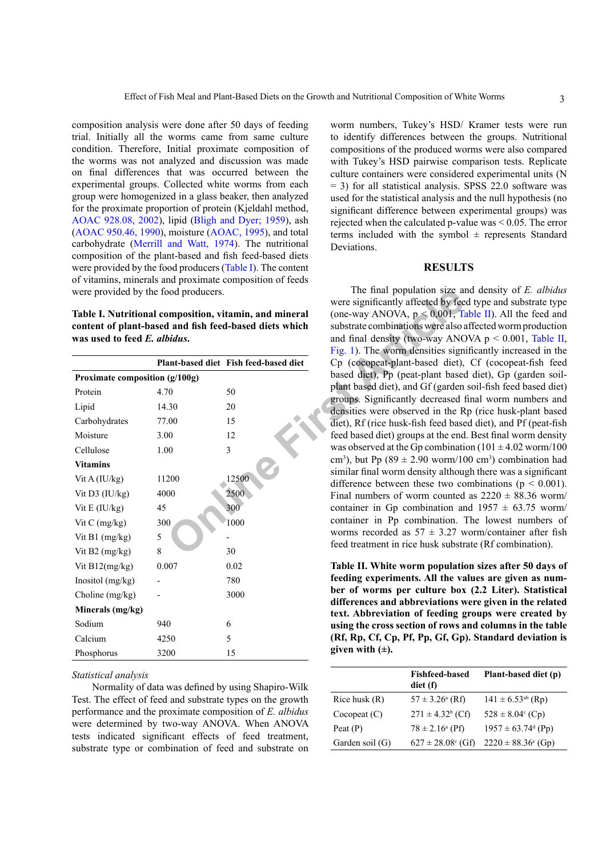composition analysis were done after 50 days of feeding trial. Initially all the worms came from same culture condition. Therefore, Initial proximate composition of the worms was not analyzed and discussion was made on final differences that was occurred between the experimental groups. Collected white worms from each group were homogenized in a glass beaker, then analyzed for the proximate proportion of protein (Kjeldahl method, [AOAC 928.08, 2002](#page-5-2)), lipid ([Bligh and Dyer; 1959](#page-6-12)), ash ([AOAC 950.46, 1990](#page-5-3)), moisture ([AOAC, 1995\)](#page-5-4), and total carbohydrate ([Merrill and Watt, 1974](#page-6-13)). The nutritional composition of the plant-based and fish feed-based diets were provided by the food producers [\(Table I](#page-2-0)). The content of vitamins, minerals and proximate composition of feeds were provided by the food producers.

<span id="page-2-0"></span>**Table I. Nutritional composition, vitamin, and mineral content of plant-based and fish feed-based diets which was used to feed** *E. albidus***.**

|                                |       | Plant-based diet Fish feed-based diet |  |  |  |  |
|--------------------------------|-------|---------------------------------------|--|--|--|--|
| Proximate composition (g/100g) |       |                                       |  |  |  |  |
| Protein                        | 4.70  | 50                                    |  |  |  |  |
| Lipid                          | 14.30 | 20                                    |  |  |  |  |
| Carbohydrates                  | 77.00 | 15                                    |  |  |  |  |
| Moisture                       | 3.00  | 12                                    |  |  |  |  |
| Cellulose                      | 1.00  | 3                                     |  |  |  |  |
| <b>Vitamins</b>                |       |                                       |  |  |  |  |
| Vit A (IU/kg)                  | 11200 | 12500                                 |  |  |  |  |
| Vit D3 (IU/kg)                 | 4000  | 2500                                  |  |  |  |  |
| Vit $E$ (IU/kg)                | 45    | 300                                   |  |  |  |  |
| Vit $C$ (mg/kg)                | 300   | 1000                                  |  |  |  |  |
| Vit B1 $(mg/kg)$               | 5     |                                       |  |  |  |  |
| Vit B2 $(mg/kg)$               | 8     | 30                                    |  |  |  |  |
| Vit $B12(mg/kg)$               | 0.007 | 0.02                                  |  |  |  |  |
| Inositol $(mg/kg)$             |       | 780                                   |  |  |  |  |
| Choline (mg/kg)                |       | 3000                                  |  |  |  |  |
| Minerals (mg/kg)               |       |                                       |  |  |  |  |
| Sodium                         | 940   | 6                                     |  |  |  |  |
| Calcium                        | 4250  | 5                                     |  |  |  |  |
| Phosphorus                     | 3200  | 15                                    |  |  |  |  |

## *Statistical analysis*

Normality of data was defined by using Shapiro-Wilk Test. The effect of feed and substrate types on the growth performance and the proximate composition of *E. albidus* were determined by two-way ANOVA. When ANOVA tests indicated significant effects of feed treatment, substrate type or combination of feed and substrate on

worm numbers, Tukey's HSD/ Kramer tests were run to identify differences between the groups. Nutritional compositions of the produced worms were also compared with Tukey's HSD pairwise comparison tests. Replicate culture containers were considered experimental units (N = 3) for all statistical analysis. SPSS 22.0 software was used for the statistical analysis and the null hypothesis (no significant difference between experimental groups) was rejected when the calculated p-value was < 0.05. The error terms included with the symbol  $\pm$  represents Standard Deviations.

#### **RESULTS**

ond producers.<br> **ON a roughly and the manufolical state of the substrate data state of the substrate combinations were signal<br>
<b>ON a rat-based diet Fish feed-based diets which**<br> **ON a roughly discussed by Fig. 1)**. The wor The final population size and density of *E. albidus* were significantly affected by feed type and substrate type (one-way ANOVA,  $p < 0.001$ , [Table II\)](#page-2-1). All the feed and substrate combinations were also affected worm production and final density (two-way ANOVA  $p < 0.001$ , [Table II,](#page-2-1) Fig. 1). The worm densities significantly increased in the Cp (cocopeat-plant-based diet), Cf (cocopeat-fish feed based diet), Pp (peat-plant based diet), Gp (garden soilplant based diet), and Gf (garden soil-fish feed based diet) groups. Significantly decreased final worm numbers and densities were observed in the Rp (rice husk-plant based diet), Rf (rice husk-fish feed based diet), and Pf (peat-fish feed based diet) groups at the end. Best final worm density was observed at the Gp combination ( $101 \pm 4.02$  worm/ $100$ cm<sup>3</sup>), but Pp (89  $\pm$  2.90 worm/100 cm<sup>3</sup>) combination had similar final worm density although there was a significant difference between these two combinations ( $p < 0.001$ ). Final numbers of worm counted as  $2220 \pm 88.36$  worm/ container in Gp combination and  $1957 \pm 63.75$  worm/ container in Pp combination. The lowest numbers of worms recorded as  $57 \pm 3.27$  worm/container after fish feed treatment in rice husk substrate (Rf combination).

> <span id="page-2-1"></span>**Table II. White worm population sizes after 50 days of feeding experiments. All the values are given as number of worms per culture box (2.2 Liter). Statistical differences and abbreviations were given in the related text. Abbreviation of feeding groups were created by using the cross section of rows and columns in the table (Rf, Rp, Cf, Cp, Pf, Pp, Gf, Gp). Standard deviation is given with (±).**

|                 | <b>Fishfeed-based</b><br>diet (f) | Plant-based diet (p)               |
|-----------------|-----------------------------------|------------------------------------|
| Rice husk $(R)$ | $57 \pm 3.26^{\circ}$ (Rf)        | $141 \pm 6.53^{ab}$ (Rp)           |
| Cocopeat(C)     | $271 \pm 4.32^b$ (Cf)             | $528 \pm 8.04$ <sup>c</sup> (Cp)   |
| Peat $(P)$      | $78 \pm 2.16^{\circ}$ (Pf)        | $1957 \pm 63.74^{\text{d}}$ (Pp)   |
| Garden soil (G) | $627 \pm 28.08$ ° (Gf)            | $2220 \pm 88.36$ <sup>e</sup> (Gp) |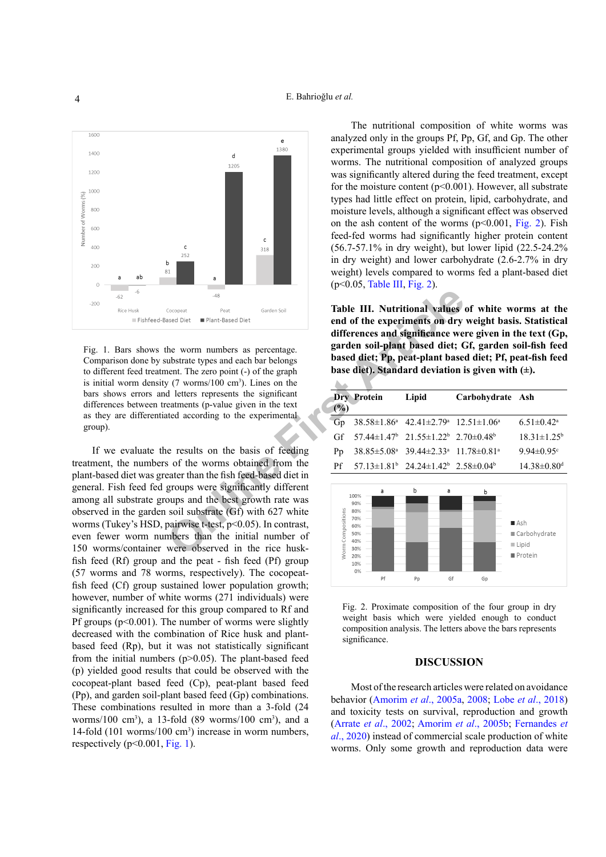

<span id="page-3-0"></span>Fig. 1. Bars shows the worm numbers as percentage. Comparison done by substrate types and each bar belongs to different feed treatment. The zero point (-) of the graph is initial worm density  $(7 \text{ worms}/100 \text{ cm}^3)$ . Lines on the bars shows errors and letters represents the significant differences between treatments (p-value given in the text as they are differentiated according to the experimental group).

Compast<br>
<sup>Frost</sup> Plant-Based Diet<br> **Compast**<br> **Compast**<br> **Compast**<br> **Compassion Carry Compassion and Significance were the worm numbers as percentage.<br>
<b>Compassion and the experiments on dry**<br> **Compassion and the sense of** If we evaluate the results on the basis of feeding treatment, the numbers of the worms obtained from the plant-based diet was greater than the fish feed-based diet in general. Fish feed fed groups were significantly different among all substrate groups and the best growth rate was observed in the garden soil substrate (Gf) with 627 white worms (Tukey's HSD, pairwise t-test, p<0.05). In contrast, even fewer worm numbers than the initial number of 150 worms/container were observed in the rice huskfish feed (Rf) group and the peat - fish feed (Pf) group (57 worms and 78 worms, respectively). The cocopeatfish feed (Cf) group sustained lower population growth; however, number of white worms (271 individuals) were significantly increased for this group compared to Rf and Pf groups ( $p<0.001$ ). The number of worms were slightly decreased with the combination of Rice husk and plantbased feed (Rp), but it was not statistically significant from the initial numbers  $(p>0.05)$ . The plant-based feed (p) yielded good results that could be observed with the cocopeat-plant based feed (Cp), peat-plant based feed (Pp), and garden soil-plant based feed (Gp) combinations. These combinations resulted in more than a 3-fold (24 worms/100 cm<sup>3</sup>), a 13-fold (89 worms/100 cm<sup>3</sup>), and a 14-fold (101 worms/100 cm3 ) increase in worm numbers, respectively  $(p<0.001, Fig. 1)$  $(p<0.001, Fig. 1)$  $(p<0.001, Fig. 1)$ .

The nutritional composition of white worms was analyzed only in the groups Pf, Pp, Gf, and Gp. The other experimental groups yielded with insufficient number of worms. The nutritional composition of analyzed groups was significantly altered during the feed treatment, except for the moisture content ( $p<0.001$ ). However, all substrate types had little effect on protein, lipid, carbohydrate, and moisture levels, although a significant effect was observed on the ash content of the worms  $(p<0.001, Fig. 2)$  $(p<0.001, Fig. 2)$  $(p<0.001, Fig. 2)$ . Fish feed-fed worms had significantly higher protein content (56.7-57.1% in dry weight), but lower lipid (22.5-24.2% in dry weight) and lower carbohydrate (2.6-2.7% in dry weight) levels compared to worms fed a plant-based diet (p<0.05, [Table III](#page-3-2), [Fig. 2](#page-3-1)).

<span id="page-3-2"></span>**Table III. Nutritional values of white worms at the end of the experiments on dry weight basis. Statistical differences and significance were given in the text (Gp, garden soil-plant based diet; Gf, garden soil-fish feed based diet; Pp, peat-plant based diet; Pf, peat-fish feed base diet). Standard deviation is given with (±).**

| (%) | <b>Dry Protein</b>                                                                       | Lipid                                                                   | Carbohydrate Ash |                               |  |  |
|-----|------------------------------------------------------------------------------------------|-------------------------------------------------------------------------|------------------|-------------------------------|--|--|
| Gp  |                                                                                          | $38.58 \pm 1.86^a$ $42.41 \pm 2.79^a$ $12.51 \pm 1.06^a$                |                  | $6.51 \pm 0.42^a$             |  |  |
|     | Gf $57.44 \pm 1.47$ $21.55 \pm 1.22$ $2.70 \pm 0.48$                                     |                                                                         |                  | $18.31 \pm 1.25^b$            |  |  |
| Pp  |                                                                                          | 38.85±5.08 <sup>a</sup> 39.44±2.33 <sup>a</sup> 11.78±0.81 <sup>a</sup> |                  | 9.94 $\pm$ 0.95 $\degree$     |  |  |
| Pf  | $57.13 \pm 1.81^{\mathrm{b}}$ 24.24 $\pm 1.42^{\mathrm{b}}$ 2.58 $\pm 0.04^{\mathrm{b}}$ |                                                                         |                  | $14.38 \pm 0.80$ <sup>d</sup> |  |  |



<span id="page-3-1"></span>Fig. 2. Proximate composition of the four group in dry weight basis which were yielded enough to conduct composition analysis. The letters above the bars represents significance.

# **DISCUSSION**

Most of the research articles were related on avoidance behavior [\(Amorim](#page-5-5) *et al*., 2005a, [2008](#page-5-6); Lobe *et al*[., 2018](#page-6-14)) and toxicity tests on survival, reproduction and growth (Arrate *et al*[., 2002;](#page-5-7) [Amorim](#page-5-1) *et al*., 2005b; [Fernandes](#page-6-15) *et al*[., 2020](#page-6-15)) instead of commercial scale production of white worms. Only some growth and reproduction data were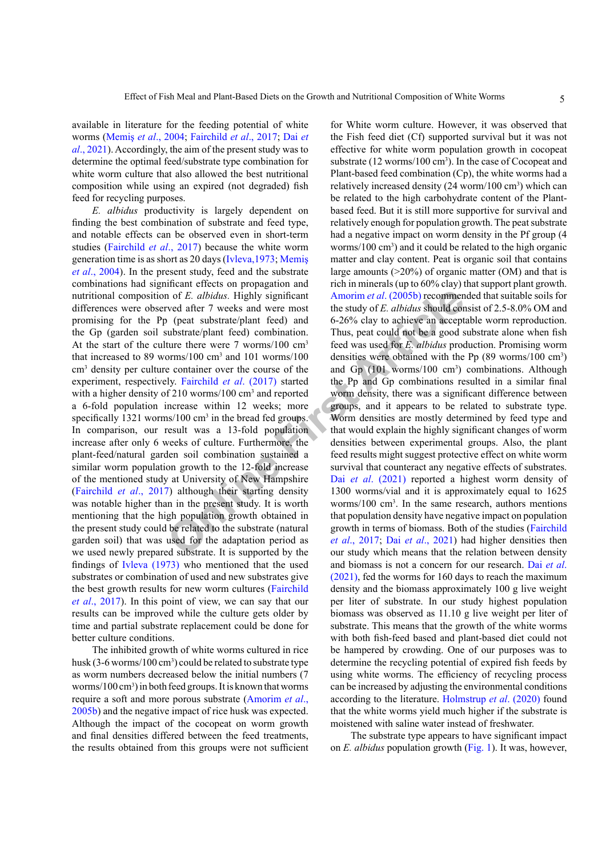available in literature for the feeding potential of white worms ([Memiş](#page-6-16) *et al*., 2004; [Fairchild](#page-6-8) *et al*., 2017; [Dai](#page-6-7) *et al*[., 2021\)](#page-6-7). Accordingly, the aim of the present study was to determine the optimal feed/substrate type combination for white worm culture that also allowed the best nutritional composition while using an expired (not degraded) fish feed for recycling purposes.

In of *E. albidus.* Highly significant Amorim *et al.* (2005b) recomment (2005b) recomment of the study of *E. albidus* should convert (plant feed) and  $6-26\%$  clay to achieve an accept ture there were 7 vorms/100 cm<sup>3</sup> *E. albidus* productivity is largely dependent on finding the best combination of substrate and feed type, and notable effects can be observed even in short-term studies ([Fairchild](#page-6-8) *et al*., 2017) because the white worm generation time is as short as 20 days (Ivleva,1973; [Memiş](#page-6-16) *et al*[., 2004\)](#page-6-16). In the present study, feed and the substrate combinations had significant effects on propagation and nutritional composition of *E. albidus.* Highly significant differences were observed after 7 weeks and were most promising for the Pp (peat substrate/plant feed) and the Gp (garden soil substrate/plant feed) combination. At the start of the culture there were 7 worms/100 cm<sup>3</sup> that increased to 89 worms/100  $\text{cm}^3$  and 101 worms/100 cm3 density per culture container over the course of the experiment, respectively. Fairchild *et al*. (2017) started with a higher density of 210 worms/100 cm<sup>3</sup> and reported a 6-fold population increase within 12 weeks; more specifically 1321 worms/100 cm<sup>3</sup> in the bread fed groups. In comparison, our result was a 13-fold population increase after only 6 weeks of culture. Furthermore, the plant-feed/natural garden soil combination sustained a similar worm population growth to the 12-fold increase of the mentioned study at University of New Hampshire [\(Fairchild](#page-6-8) *et al*., 2017) although their starting density was notable higher than in the present study. It is worth mentioning that the high population growth obtained in the present study could be related to the substrate (natural garden soil) that was used for the adaptation period as we used newly prepared substrate. It is supported by the findings of [Ivleva \(1973\)](#page-6-9) who mentioned that the used substrates or combination of used and new substrates give the best growth results for new worm cultures ([Fairchild](#page-6-8) *et al*[., 2017](#page-6-8)). In this point of view, we can say that our results can be improved while the culture gets older by time and partial substrate replacement could be done for better culture conditions.

The inhibited growth of white worms cultured in rice husk (3-6 worms/100 cm<sup>3</sup>) could be related to substrate type as worm numbers decreased below the initial numbers (7 worms/100 cm<sup>3</sup>) in both feed groups. It is known that worms require a soft and more porous substrate ([Amorim](#page-5-1) *et al*., [2005b](#page-5-1)) and the negative impact of rice husk was expected. Although the impact of the cocopeat on worm growth and final densities differed between the feed treatments, the results obtained from this groups were not sufficient

for White worm culture. However, it was observed that the Fish feed diet (Cf) supported survival but it was not effective for white worm population growth in cocopeat substrate ( $12 \text{ worms}/100 \text{ cm}^3$ ). In the case of Cocopeat and Plant-based feed combination (Cp), the white worms had a relatively increased density (24 worm/100 cm<sup>3</sup>) which can be related to the high carbohydrate content of the Plantbased feed. But it is still more supportive for survival and relatively enough for population growth. The peat substrate had a negative impact on worm density in the Pf group (4 worms/100 cm<sup>3</sup>) and it could be related to the high organic matter and clay content. Peat is organic soil that contains large amounts  $(>=20\%)$  of organic matter (OM) and that is rich in minerals (up to 60% clay) that support plant growth. Amorim *et al*. (2005b) recommended that suitable soils for the study of *E. albidus* should consist of 2.5-8.0% OM and 6-26% clay to achieve an acceptable worm reproduction. Thus, peat could not be a good substrate alone when fish feed was used for *E. albidus* production. Promising worm densities were obtained with the Pp  $(89 \text{ worms}/100 \text{ cm}^3)$ and Gp (101 worms/100 cm<sup>3</sup>) combinations. Although the Pp and Gp combinations resulted in a similar final worm density, there was a significant difference between groups, and it appears to be related to substrate type. Worm densities are mostly determined by feed type and that would explain the highly significant changes of worm densities between experimental groups. Also, the plant feed results might suggest protective effect on white worm survival that counteract any negative effects of substrates. Dai *et al*. (2021) reported a highest worm density of 1300 worms/vial and it is approximately equal to 1625 worms/100 cm3 . In the same research, authors mentions that population density have negative impact on population growth in terms of biomass. Both of the studies [\(Fairchild](#page-6-8) *et al*., 2017; Dai *et al*., 2021) had higher densities then our study which means that the relation between density and biomass is not a concern for our research. Dai *[et al](#page-6-7)*. [\(2021\)](#page-6-7), fed the worms for 160 days to reach the maximum density and the biomass approximately 100 g live weight per liter of substrate. In our study highest population biomass was observed as 11.10 g live weight per liter of substrate. This means that the growth of the white worms with both fish-feed based and plant-based diet could not be hampered by crowding. One of our purposes was to determine the recycling potential of expired fish feeds by using white worms. The efficiency of recycling process can be increased by adjusting the environmental conditions according to the literature. [Holmstrup](#page-6-6) *et al*. (2020) found that the white worms yield much higher if the substrate is moistened with saline water instead of freshwater.

The substrate type appears to have significant impact on *E. albidus* population growth ([Fig. 1](#page-3-0)). It was, however,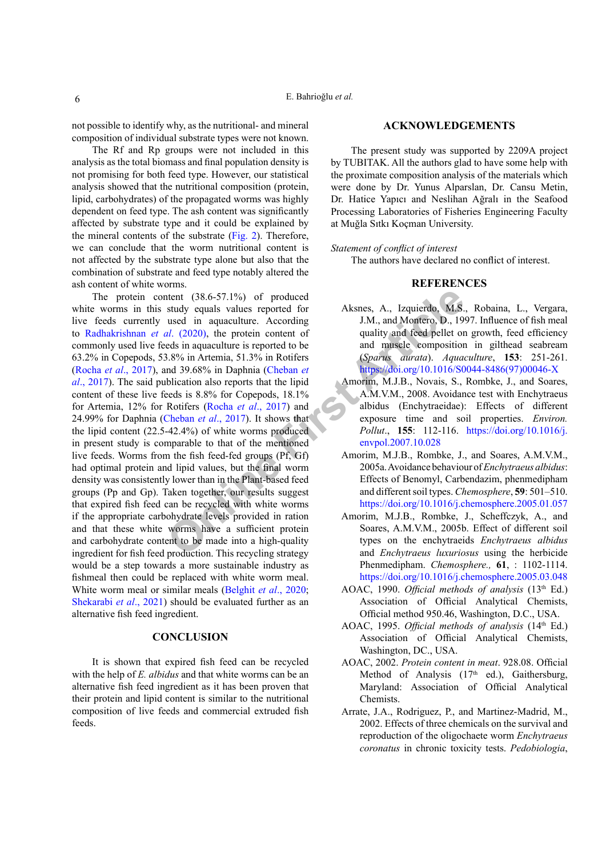not possible to identify why, as the nutritional- and mineral composition of individual substrate types were not known.

The Rf and Rp groups were not included in this analysis as the total biomass and final population density is not promising for both feed type. However, our statistical analysis showed that the nutritional composition (protein, lipid, carbohydrates) of the propagated worms was highly dependent on feed type. The ash content was significantly affected by substrate type and it could be explained by the mineral contents of the substrate ([Fig. 2](#page-3-1)). Therefore, we can conclude that the worm nutritional content is not affected by the substrate type alone but also that the combination of substrate and feed type notably altered the ash content of white worms.

ntent (38.6-57.1%) of produced<br>study equals values reported for<br>all the protein content of<br>the protein content of<br>all (2020), the protein content of<br>and massed energy articles in aquaculture is reported to be<br>and massed co The protein content (38.6-57.1%) of produced white worms in this study equals values reported for live feeds currently used in aquaculture. According to [Radhakrishnan](#page-6-17) *et al*. (2020), the protein content of commonly used live feeds in aquaculture is reported to be 63.2% in Copepods, 53.8% in Artemia, 51.3% in Rotifers (Rocha *et al*[., 2017\)](#page-6-18), and 39.68% in Daphnia (Cheban *et al*[., 2017](#page-6-19)). The said publication also reports that the lipid content of these live feeds is 8.8% for Copepods, 18.1% for Artemia, 12% for Rotifers (Rocha *et al*., 2017) and 24.99% for Daphnia (Cheban *et al*., 2017). It shows that the lipid content (22.5-42.4%) of white worms produced in present study is comparable to that of the mentioned live feeds. Worms from the fish feed-fed groups (Pf, Gf) had optimal protein and lipid values, but the final worm density was consistently lower than in the Plant-based feed groups (Pp and Gp). Taken together, our results suggest that expired fish feed can be recycled with white worms if the appropriate carbohydrate levels provided in ration and that these white worms have a sufficient protein and carbohydrate content to be made into a high-quality ingredient for fish feed production. This recycling strategy would be a step towards a more sustainable industry as fishmeal then could be replaced with white worm meal. White worm meal or similar meals [\(Belghit](#page-6-5) *et al*., 2020; [Shekarabi](#page-7-5) *et al*., 2021) should be evaluated further as an alternative fish feed ingredient.

## **CONCLUSION**

It is shown that expired fish feed can be recycled with the help of *E. albidus* and that white worms can be an alternative fish feed ingredient as it has been proven that their protein and lipid content is similar to the nutritional composition of live feeds and commercial extruded fish feeds.

#### **ACKNOWLEDGEMENTS**

The present study was supported by 2209A project by TUBITAK. All the authors glad to have some help with the proximate composition analysis of the materials which were done by Dr. Yunus Alparslan, Dr. Cansu Metin, Dr. Hatice Yapıcı and Neslihan Ağralı in the Seafood Processing Laboratories of Fisheries Engineering Faculty at Muğla Sıtkı Koçman University.

#### *Statement of conflict of interest*

The authors have declared no conflict of interest.

# **REFERENCES**

- <span id="page-5-0"></span>Aksnes, A., Izquierdo, M.S., Robaina, L., Vergara, J.M., and Montero, D., 1997. Influence of fish meal quality and feed pellet on growth, feed efficiency and muscle composition in gilthead seabream (*Sparus aurata*). *Aquaculture*, **153**: 251-261. [https://doi.org/10.1016/S0044-8486\(97\)00046-X](https://doi.org/10.1016/S0044-8486(97)00046-X)
- <span id="page-5-6"></span>Amorim, M.J.B., Novais, S., Rombke, J., and Soares, A.M.V.M., 2008. Avoidance test with Enchytraeus albidus (Enchytraeidae): Effects of different exposure time and soil properties. *Environ. Pollut*., **155**: 112-116. [https://doi.org/10.1016/j.](https://doi.org/10.1016/j.envpol.2007.10.028) envpol.2007.10.028
- <span id="page-5-5"></span>Amorim, M.J.B., Rombke, J., and Soares, A.M.V.M., 2005a. Avoidance behaviour of *Enchytraeus albidus*: Effects of Benomyl, Carbendazim, phenmedipham and different soil types. *Chemosphere*, **59**: 501–510. <https://doi.org/10.1016/j.chemosphere.2005.01.057>
- <span id="page-5-1"></span>Amorim, M.J.B., Rombke, J., Scheffczyk, A., and Soares, A.M.V.M., 2005b. Effect of different soil types on the enchytraeids *Enchytraeus albidus* and *Enchytraeus luxuriosus* using the herbicide Phenmedipham. *Chemosphere.,* **61**, : 1102-1114. <https://doi.org/10.1016/j.chemosphere.2005.03.048>
- <span id="page-5-3"></span>AOAC, 1990. *Official methods of analysis* (13<sup>th</sup> Ed.) Association of Official Analytical Chemists, Official method 950.46, Washington, D.C., USA.
- <span id="page-5-4"></span>AOAC, 1995. *Official methods of analysis* (14<sup>th</sup> Ed.) Association of Official Analytical Chemists, Washington, DC., USA.
- <span id="page-5-2"></span>AOAC, 2002. *Protein content in meat*. 928.08. Official Method of Analysis  $(17<sup>th</sup>$  ed.), Gaithersburg, Maryland: Association of Official Analytical Chemists.
- <span id="page-5-7"></span>Arrate, J.A., Rodriguez, P., and Martinez-Madrid, M., 2002. Effects of three chemicals on the survival and reproduction of the oligochaete worm *Enchytraeus coronatus* in chronic toxicity tests. *Pedobiologia*,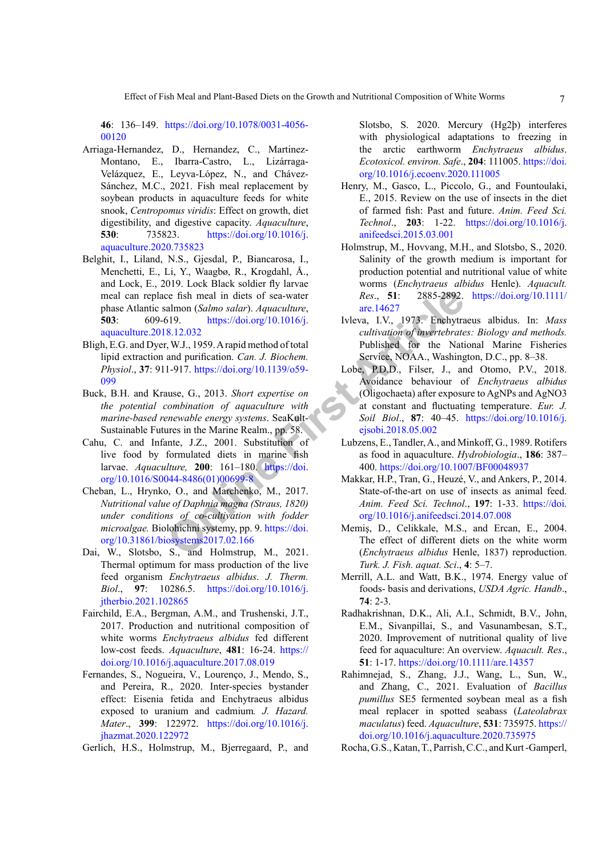**46**: 136–149. [https://doi.org/10.1078/0031-4056-](https://doi.org/10.1078/0031-4056-00120) [00120](https://doi.org/10.1078/0031-4056-00120)

- <span id="page-6-1"></span>Arriaga-Hernandez, D., Hernandez, C., Martinez-Montano, E., Ibarra-Castro, L., Lizárraga-Velázquez, E., Leyva-López, N., and Chávez-Sánchez, M.C., 2021. Fish meal replacement by soybean products in aquaculture feeds for white snook, *Centropomus viridis*: Effect on growth, diet digestibility, and digestive capacity. *Aquaculture*, **530**: 735823. [https://doi.org/10.1016/j.](https://doi.org/10.1016/j.aquaculture.2020.735823) [aquaculture.2020.735823](https://doi.org/10.1016/j.aquaculture.2020.735823)
- <span id="page-6-5"></span>Belghit, I., Liland, N.S., Gjesdal, P., Biancarosa, I., Menchetti, E., Li, Y., Waagbø, R., Krogdahl, Å., and Lock, E., 2019. Lock Black soldier fly larvae meal can replace fish meal in diets of sea-water phase Atlantic salmon (*Salmo salar*). *Aquaculture*, **503**: 609-619. https://doi.org/10.1016/j. [aquaculture.2018.12.032](https://doi.org/10.1016/j.aquaculture.2018.12.032)
- <span id="page-6-12"></span>Bligh, E.G. and Dyer, W.J., 1959. A rapid method of total lipid extraction and purification. *Can. J. Biochem. Physiol*., **37**: 911-917. https://doi.org/10.1139/o59- [099](https://doi.org/10.1139/o59-099)
- <span id="page-6-0"></span>Buck, B.H. and Krause, G., 2013. *Short expertise on the potential combination of aquaculture with marine-based renewable energy systems*. SeaKult-Sustainable Futures in the Marine Realm., pp. 58.
- <span id="page-6-11"></span>Cahu, C. and Infante, J.Z., 2001. Substitution of live food by formulated diets in marine fish larvae. *Aquaculture,* **200**: 161–180. https://doi. [org/10.1016/S0044-8486\(01\)00699-8](https://doi.org/10.1016/S0044-8486(01)00699-8)
- <span id="page-6-19"></span>Cheban, L., Hrynko, O., and Marchenko, M., 2017. *Nutritional value of Daphnia magna (Straus, 1820) under conditions of co-cultivation with fodder microalgae.* Biolohichni systemy, pp. 9. https://doi. [org/10.31861/biosystems2017.02.166](https://doi.org/10.31861/biosystems2017.02.166)
- <span id="page-6-7"></span>Dai, W., Slotsbo, S., and Holmstrup, M., 2021. Thermal optimum for mass production of the live feed organism *Enchytraeus albidus*. *J. Therm. Biol*., **97**: 10286.5. [https://doi.org/10.1016/j.](https://doi.org/10.1016/j.jtherbio.2021.102865) [jtherbio.2021.102865](https://doi.org/10.1016/j.jtherbio.2021.102865)
- <span id="page-6-17"></span><span id="page-6-8"></span>Fairchild, E.A., Bergman, A.M., and Trushenski, J.T., 2017. Production and nutritional composition of white worms *Enchytraeus albidus* fed different low-cost feeds. *Aquaculture*, **481**: 16-24. [https://](https://doi.org/10.1016/j.aquaculture.2017.08.019) [doi.org/10.1016/j.aquaculture.2017.08.019](https://doi.org/10.1016/j.aquaculture.2017.08.019)
- <span id="page-6-15"></span><span id="page-6-2"></span>Fernandes, S., Nogueira, V., Lourenço, J., Mendo, S., and Pereira, R., 2020. Inter-species bystander effect: Eisenia fetida and Enchytraeus albidus exposed to uranium and cadmium*. J. Hazard. Mater*., **399**: 122972. [https://doi.org/10.1016/j.](https://doi.org/10.1016/j.jhazmat.2020.122972) [jhazmat.2020.122972](https://doi.org/10.1016/j.jhazmat.2020.122972)

<span id="page-6-18"></span>Gerlich, H.S., Holmstrup, M., Bjerregaard, P., and

Slotsbo, S. 2020. Mercury (Hg2þ) interferes with physiological adaptations to freezing in the arctic earthworm *Enchytraeus albidus*. *Ecotoxicol. environ. Safe*., **204**: 111005. [https://doi.](https://doi.org/10.1016/j.ecoenv.2020.111005) [org/10.1016/j.ecoenv.2020.111005](https://doi.org/10.1016/j.ecoenv.2020.111005)

- <span id="page-6-4"></span>Henry, M., Gasco, L., Piccolo, G., and Fountoulaki, E., 2015. Review on the use of insects in the diet of farmed fish: Past and future. *Anim. Feed Sci. Technol*., **203**: 1-22. [https://doi.org/10.1016/j.](https://doi.org/10.1016/j.anifeedsci.2015.03.001) [anifeedsci.2015.03.001](https://doi.org/10.1016/j.anifeedsci.2015.03.001)
- <span id="page-6-6"></span>Holmstrup, M., Hovvang, M.H., and Slotsbo, S., 2020. Salinity of the growth medium is important for production potential and nutritional value of white worms (*Enchytraeus albidus* Henle). *Aquacult. Res*., **51**: 2885-2892. [https://doi.org/10.1111/](https://doi.org/10.1111/are.14627) are.14627
- <span id="page-6-16"></span><span id="page-6-14"></span><span id="page-6-13"></span><span id="page-6-10"></span><span id="page-6-9"></span><span id="page-6-3"></span>Ivleva, I.V., 1973. Enchytraeus albidus. In: *Mass cultivation of invertebrates: Biology and methods.*  Published for the National Marine Fisheries Service, NOAA., Washington, D.C., pp. 8–38.
- Computer Continuously and Marchenton (Salmon Calmo salar). Aquaculture,<br>
S. 1.20032<br>
2003. https://doi.org/10.1016/j.<br>
2003. Newsa, I.V., 1973. Enchytra<br>
2003. 2003. Shappid method of total<br>
2003. Tuleva, I.V., 1973. Enchy Lobe, P.D.D., Filser, J., and Otomo, P.V., 2018. Avoidance behaviour of *Enchytraeus albidus* (Oligochaeta) after exposure to AgNPs and AgNO3 at constant and fluctuating temperature. *Eur. J. Soil Biol*., **87**: 40–45. [https://doi.org/10.1016/j.](https://doi.org/10.1016/j.ejsobi.2018.05.002) ejsobi.2018.05.002
	- Lubzens, E., Tandler, A., and Minkoff, G., 1989. Rotifers as food in aquaculture. *Hydrobiologia*., **186**: 387– 400. <https://doi.org/10.1007/BF00048937>
	- Makkar, H.P., Tran, G., Heuzé, V., and Ankers, P., 2014. State-of-the-art on use of insects as animal feed. *Anim. Feed Sci. Technol*., **197**: 1-33. [https://doi.](https://doi.org/10.1016/j.anifeedsci.2014.07.008) [org/10.1016/j.anifeedsci.2014.07.008](https://doi.org/10.1016/j.anifeedsci.2014.07.008)
	- Memiş, D., Celikkale, M.S., and Ercan, E., 2004. The effect of different diets on the white worm (*Enchytraeus albidus* Henle, 1837) reproduction. *Turk. J. Fish. aquat. Sci*., **4**: 5–7.
	- Merrill, A.L. and Watt, B.K., 1974. Energy value of foods- basis and derivations, *USDA Agric. Handb*., **74**: 2-3.
	- Radhakrishnan, D.K., Ali, A.I., Schmidt, B.V., John, E.M., Sivanpillai, S., and Vasunambesan, S.T., 2020. Improvement of nutritional quality of live feed for aquaculture: An overview. *Aquacult. Res*., **51**: 1-17. <https://doi.org/10.1111/are.14357>
	- Rahimnejad, S., Zhang, J.J., Wang, L., Sun, W., and Zhang, C., 2021. Evaluation of *Bacillus pumillus* SE5 fermented soybean meal as a fish meal replacer in spotted seabass (*Lateolabrax maculatus*) feed. *Aquaculture*, **531**: 735975. [https://](https://doi.org/10.1016/j.aquaculture.2020.735975) [doi.org/10.1016/j.aquaculture.2020.735975](https://doi.org/10.1016/j.aquaculture.2020.735975)
	- Rocha, G.S., Katan, T., Parrish, C.C., and Kurt -Gamperl,